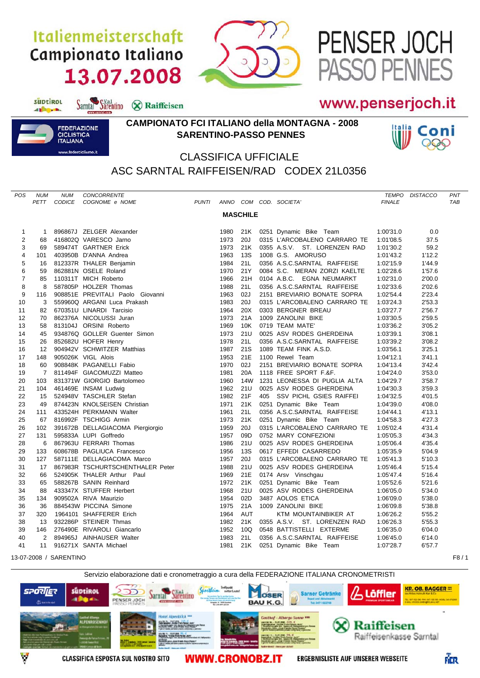## Italienmeisterschaft Campionato Italiano 13.07.2008

Sarntal Sarentino & Raiffeisen



## www.penserjoch.it

PENSER JOCH

ASSO PENNES



suptirol

different

## **CAMPIONATO FCI ITALIANO della MONTAGNA - 2008 SARENTINO-PASSO PENNES**



## CLASSIFICA UFFICIALE ASC SARNTAL RAIFFEISEN/RAD CODEX 21L0356

| POS             | <b>NUM</b><br>PETT | <b>NUM</b><br>CODICE   | CONCORRENTE<br>COGNOME e NOME    | <b>PUNTI</b> |      |                 |  | ANNO COM COD. SOCIETA'       | <b>FINALE</b> | <b>TEMPO DISTACCO</b> | PNT<br><b>TAB</b> |  |
|-----------------|--------------------|------------------------|----------------------------------|--------------|------|-----------------|--|------------------------------|---------------|-----------------------|-------------------|--|
|                 |                    |                        |                                  |              |      |                 |  |                              |               |                       |                   |  |
| <b>MASCHILE</b> |                    |                        |                                  |              |      |                 |  |                              |               |                       |                   |  |
| $\mathbf{1}$    | $\mathbf{1}$       |                        | 896867J ZELGER Alexander         |              | 1980 | 21K             |  | 0251 Dynamic Bike Team       | 1:00'31.0     | 0.0                   |                   |  |
| $\overline{c}$  | 68                 |                        | 416802Q VARESCO Jarno            |              | 1973 | 20J             |  | 0315 L'ARCOBALENO CARRARO TE | 1:01'08.5     | 37.5                  |                   |  |
| 3               | 69                 |                        | 589474T GARTNER Erick            |              | 1973 | 21K             |  | 0355 A.S.V. ST. LORENZEN RAD | 1:01'30.2     | 59.2                  |                   |  |
| 4               | 101                |                        | 403950B D'ANNA Andrea            |              | 1963 | 13S             |  | 1008 G.S. AMORUSO            | 1:01'43.2     | 1'12.2                |                   |  |
| 5               | 16                 |                        | 812337R THALER Benjamin          |              | 1984 | 21L             |  | 0356 A.S.C.SARNTAL RAIFFEISE | 1:02'15.9     | 1'44.9                |                   |  |
| 6               | 59                 |                        | 862881N OSELE Roland             |              | 1970 | 21Y             |  | 0084 S.C. MERAN ZORZI KAELTE | 1:02'28.6     | 1'57.6                |                   |  |
| $\overline{7}$  | 85                 |                        | 110311T MICH Roberto             |              | 1966 | 21H             |  | 0104 A.B.C. EGNA NEUMARKT    | 1:02'31.0     | 2'00.0                |                   |  |
| 8               | 8                  |                        | 587805P HOLZER Thomas            |              | 1988 | 21L             |  | 0356 A.S.C.SARNTAL RAIFFEISE | 1:02'33.6     | 2'02.6                |                   |  |
| 9               | 116                |                        | 908851E PREVITALI Paolo Giovanni |              | 1963 | 02J             |  | 2151 BREVIARIO BONATE SOPRA  | 1:02'54.4     | 2'23.4                |                   |  |
| 10              | 3                  |                        | 559960Q ARGANI Luca Prakash      |              | 1983 | 20J             |  | 0315 L'ARCOBALENO CARRARO TE | 1:03'24.3     | 2'53.3                |                   |  |
| 11              | 82                 |                        | 670351U LINARDI Tarcisio         |              | 1964 | 20X             |  | 0303 BERGNER BREAU           | 1:03'27.7     | 2'56.7                |                   |  |
| 12              | 70                 |                        | 862376A NICOLUSSI Juran          |              | 1973 | 21A             |  | 1009 ZANOLINI BIKE           | 1:03'30.5     | 2'59.5                |                   |  |
| 13              | 58                 |                        | 813104J ORSINI Roberto           |              | 1969 | 10K             |  | 0719 TEAM MATE'              | 1:03'36.2     | 3'05.2                |                   |  |
| 14              | 45                 |                        | 934876Q GOLLER Guenter Simon     |              | 1973 | 21U             |  | 0025 ASV RODES GHERDEINA     | 1:03'39.1     | 3'08.1                |                   |  |
| 15              | 26                 |                        | 852682U HOFER Henry              |              | 1978 | 21L             |  | 0356 A.S.C.SARNTAL RAIFFEISE | 1:03'39.2     | 3'08.2                |                   |  |
| 16              | $12 \overline{ }$  |                        | 904942V SCHWITZER Matthias       |              | 1987 | 21S             |  | 1089 TEAM FINK A.S.D.        | 1:03'56.1     | 3'25.1                |                   |  |
| 17              | 148                |                        | 905026K VIGL Alois               |              | 1953 | 21E             |  | 1100 Rewel Team              | 1:04'12.1     | 3'41.1                |                   |  |
| 18              | 60                 |                        | 908848K PAGANELLI Fabio          |              | 1970 | 02J             |  | 2151 BREVIARIO BONATE SOPRA  | 1:04'13.4     | 3'42.4                |                   |  |
| 19              | $\overline{7}$     |                        | 811494F GIACOMUZZI Matteo        |              | 1981 | 20A             |  | 1118 FREE SPORT F.&F.        | 1:04'24.0     | 3'53.0                |                   |  |
| 20              | 103                |                        | 831371W GIORGIO Bartolomeo       |              | 1960 | 14W             |  | 1231 LEONESSA DI PUGLIA ALTA | 1:04'29.7     | 3'58.7                |                   |  |
| 21              | 104                |                        | 461469E INSAM Ludwig             |              | 1962 | 21U             |  | 0025 ASV RODES GHERDEINA     | 1:04'30.3     | 3'59.3                |                   |  |
| 22              | 15                 |                        | 524948V TASCHLER Stefan          |              | 1982 | 21F             |  | 405 SSV PICHL GSIES RAIFFEI  | 1:04'32.5     | 4'01.5                |                   |  |
| 23              | 49                 |                        | 874423N KNOLSEISEN Christian     |              | 1971 | 21K             |  | 0251 Dynamic Bike Team       | 1:04'39.0     | 4'08.0                |                   |  |
| 24              | 111                |                        | 433524H PERKMANN Walter          |              | 1961 | 21L             |  | 0356 A.S.C.SARNTAL RAIFFEISE | 1:04'44.1     | 4'13.1                |                   |  |
| 25              | 67                 |                        | 816992F TSCHIGG Armin            |              | 1973 | 21K             |  | 0251 Dynamic Bike Team       | 1:04'58.3     | 4'27.3                |                   |  |
| 26              | 102                |                        | 391672B DELLAGIACOMA Piergiorgio |              | 1959 | 20J             |  | 0315 L'ARCOBALENO CARRARO TE | 1:05'02.4     | 4'31.4                |                   |  |
| 27              | 131                |                        | 595833A LUPI Goffredo            |              | 1957 | 09 <sub>D</sub> |  | 0752 MARY CONFEZIONI         | 1:05'05.3     | 4'34.3                |                   |  |
| 28              | 6                  |                        | 867963U FERRARI Thomas           |              | 1986 | 21U             |  | 0025 ASV RODES GHERDEINA     | 1:05'06.4     | 4'35.4                |                   |  |
| 29              | 133                |                        | 608678B PAGLIUCA Francesco       |              | 1956 | 13S             |  | 0617 EFFEDI CASARREDO        | 1:05'35.9     | 5'04.9                |                   |  |
| 30              | 127                |                        | 587111E DELLAGIACOMA Marco       |              | 1957 | 20J             |  | 0315 L'ARCOBALENO CARRARO TE | 1:05'41.3     | 5'10.3                |                   |  |
| 31              | 17                 |                        | 867983R TSCHURTSCHENTHALER Peter |              | 1988 | 21U             |  | 0025 ASV RODES GHERDEINA     | 1:05'46.4     | 5'15.4                |                   |  |
| 32              | 66                 |                        | 524905K THALER Arthur Paul       |              | 1969 | 21E             |  | 0174 Arsv Vinschgau          | 1:05'47.4     | 5'16.4                |                   |  |
| 33              | 65                 |                        | 588267B SANIN Reinhard           |              | 1972 | 21K             |  | 0251 Dynamic Bike Team       | 1:05'52.6     | 5'21.6                |                   |  |
| 34              | 88                 |                        | 433347X STUFFER Herbert          |              | 1968 | 21U             |  | 0025 ASV RODES GHERDEINA     | 1:06'05.0     | 5'34.0                |                   |  |
| 35              | 134                |                        | 909502A RIVA Maurizio            |              | 1954 | 02D             |  | 3487 AOLOS ETICA             | 1:06'09.0     | 5'38.0                |                   |  |
| 36              | 36                 |                        | 884543W PICCINA Simone           |              | 1975 | 21A             |  | 1009 ZANOLINI BIKE           | 1:06'09.8     | 5'38.8                |                   |  |
| 37              | 320                |                        | 1964101 SHAFFERER Erich          |              | 1964 | <b>AUT</b>      |  | KTM MOUNTAINBIKER AT         | 1:06'26.2     | 5'55.2                |                   |  |
| 38              | 13                 |                        | 932286P STEINER Thmas            |              | 1982 | 21K             |  | 0355 A.S.V. ST. LORENZEN RAD | 1:06'26.3     | 5'55.3                |                   |  |
| 39              | 146                |                        | 276490E RIVAROLI Giancarlo       |              | 1952 | 10Q             |  | 0548 BATTISTELLI EXTERME     | 1:06'35.0     | 6'04.0                |                   |  |
| 40              | $\overline{2}$     |                        | 894965J AINHAUSER Walter         |              | 1983 | 21L             |  | 0356 A.S.C.SARNTAL RAIFFEISE | 1:06'45.0     | 6'14.0                |                   |  |
| 41              | 11                 |                        | 916271X SANTA Michael            |              | 1981 | 21K             |  | 0251 Dynamic Bike Team       | 1:07'28.7     | 6'57.7                |                   |  |
|                 |                    | 13-07-2008 / SARENTINO |                                  |              |      |                 |  |                              |               |                       | F8/1              |  |

Servizio elaborazione dati e cronometraggio a cura della FEDERAZIONE ITALIANA CRONOMETRISTIsüptikol **SPORIJER Sarner Getränke** Löffler OSER **Sarntal** PENSER JOCH **BAUK G Raiffeisen** Raiffeisenkasse Sarntal **ERGEBNISLISTE AUF UNSERER WEBSEITE CLASSIFICA ESPOSTA SUL NOSTRO SITO WWW.CRONOBZ.IT** 

FIER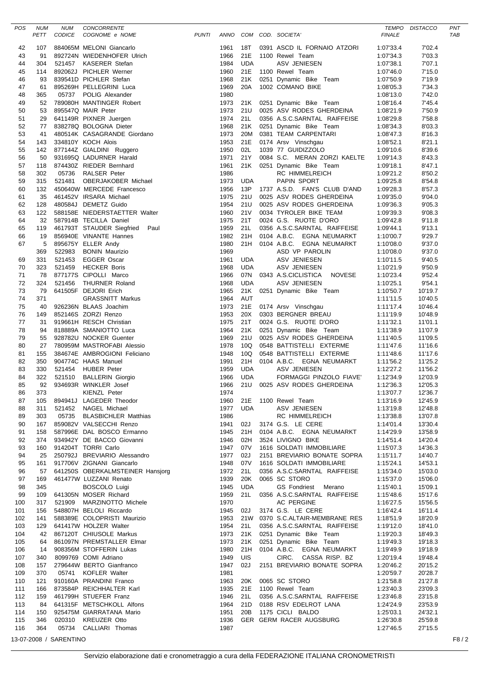| POS        | <b>NUM</b><br>PETT | <b>NUM</b><br>CODICE   | CONCORRENTE<br>COGNOME e NOME                                                                                                                                                                                                                    | PUNTI |              |                   | ANNO COM COD. SOCIETA'                          | <b>FINALE</b>          | TEMPO DISTACCO     | PNT<br><b>TAB</b> |
|------------|--------------------|------------------------|--------------------------------------------------------------------------------------------------------------------------------------------------------------------------------------------------------------------------------------------------|-------|--------------|-------------------|-------------------------------------------------|------------------------|--------------------|-------------------|
|            |                    |                        |                                                                                                                                                                                                                                                  |       |              | 18T               | 0391 ASCD IL FORNAIO ATZORI                     |                        | 7'02.4             |                   |
| 42<br>43   | 107<br>91          |                        | 884065M MELONI Giancarlo<br>892724N WIEDENHOFER Ulrich                                                                                                                                                                                           |       | 1961<br>1966 | 21E               | 1100 Rewel Team                                 | 1:07'33.4<br>1:07'34.3 | 7'03.3             |                   |
| 44         | 304                | 521457                 | KASERER Stefan                                                                                                                                                                                                                                   |       | 1984         | <b>UDA</b>        | ASV JENIESEN                                    | 1:07'38.1              | 7'07.1             |                   |
| 45         | 114                |                        | 892062J PICHLER Werner                                                                                                                                                                                                                           |       | 1960         | 21E               | 1100 Rewel Team                                 | 1:07'46.0              | 7'15.0             |                   |
| 46         | 93                 |                        | 839541D PICHLER Stefan                                                                                                                                                                                                                           |       | 1968         | 21K               | 0251 Dynamic Bike Team                          | 1:07'50.9              | 7'19.9             |                   |
| 47         | 61                 |                        | 895269H PELLEGRINI Luca                                                                                                                                                                                                                          |       | 1969         | 20A               | 1002 COMANO BIKE                                | 1:08'05.3              | 7'34.3             |                   |
| 48         | 365                |                        | 05737 POLIG Alexander                                                                                                                                                                                                                            |       | 1980         |                   |                                                 | 1:08'13.0              | 7'42.0             |                   |
| 49         | 52                 |                        | 789080H MANTINGER Robert                                                                                                                                                                                                                         |       | 1973         | 21K               | 0251 Dynamic Bike Team                          | 1:08'16.4              | 7'45.4             |                   |
| 50         | 53                 |                        | 895547Q MAIR Peter                                                                                                                                                                                                                               |       | 1973         | 21U               | 0025 ASV RODES GHERDEINA                        | 1:08'21.9              | 7'50.9             |                   |
| 51         | 29                 |                        | 641149R PIXNER Juergen                                                                                                                                                                                                                           |       | 1974         | 21L               | 0356 A.S.C.SARNTAL RAIFFEISE                    | 1:08'29.8              | 7'58.8             |                   |
| 52         | 77                 |                        | 838278Q BOLOGNA Dieter                                                                                                                                                                                                                           |       | 1968         | 21K               | 0251 Dynamic Bike Team                          | 1:08'34.3              | 8'03.3             |                   |
| 53<br>54   | 41<br>143          |                        | 480514K CASAGRANDE Giordano<br>334810Y KOCH Alois                                                                                                                                                                                                |       | 1973<br>1953 | 20M<br>21E        | 0381 TEAM CARPENTARI<br>0174 Arsv Vinschgau     | 1:08'47.3<br>1:08'52.1 | 8'16.3<br>8'21.1   |                   |
| 55         | 142                |                        | 877144Z GIALDINI Ruggero                                                                                                                                                                                                                         |       | 1950         | 02L               | 1039 77 GUIDIZZOLO                              | 1:09'10.6              | 8'39.6             |                   |
| 56         | 50                 |                        | 931695Q LADURNER Harald                                                                                                                                                                                                                          |       | 1971         | 21Y               | 0084 S.C. MERAN ZORZI KAELTE                    | 1:09'14.3              | 8'43.3             |                   |
| 57         | 118                |                        | 874430Z RIEDER Bernhard                                                                                                                                                                                                                          |       | 1961         | 21K               | 0251 Dynamic Bike Team                          | 1:09'18.1              | 8'47.1             |                   |
| 58         | 302                | 05736                  | <b>RALSER Peter</b>                                                                                                                                                                                                                              |       | 1986         |                   | RC HIMMELREICH                                  | 1:09'21.2              | 8'50.2             |                   |
| 59         | 315                | 521481                 | OBERJAKOBER Michael                                                                                                                                                                                                                              |       | 1973         | UDA               | <b>PAPIN SPORT</b>                              | 1:09'25.8              | 8'54.8             |                   |
| 60         | 132                |                        | 450640W MERCEDE Francesco                                                                                                                                                                                                                        |       | 1956         | 13P               | 1737 A.S.D. FAN'S CLUB D'AND                    | 1:09'28.3              | 8'57.3             |                   |
| 61         | 35                 |                        | 461452V IRSARA Michael                                                                                                                                                                                                                           |       | 1975         | 21U               | 0025 ASV RODES GHERDEINA                        | 1:09'35.0              | 9'04.0             |                   |
| 62         | 128                |                        | 480584J DEMETZ Guido                                                                                                                                                                                                                             |       | 1954         | 21U               | 0025 ASV RODES GHERDEINA                        | 1:09'36.3              | 9'05.3             |                   |
| 63<br>64   | 122<br>32          |                        | 588158E NIEDERSTAETTER Walter<br>587914B TECILLA Daniel                                                                                                                                                                                          |       | 1960<br>1975 | <b>21V</b><br>21T | 0034 TYROLER BIKE TEAM<br>0024 G.S. RUOTE D'ORO | 1:09'39.3<br>1:09'42.8 | 9'08.3<br>9'11.8   |                   |
| 65         | 119                |                        | 461793T STAUDER Siegfried<br>Paul                                                                                                                                                                                                                |       | 1959         | 21L               | 0356 A.S.C.SARNTAL RAIFFEISE                    | 1:09'44.1              | 9'13.1             |                   |
| 66         | 19                 |                        | 856940E VINANTE Hannes                                                                                                                                                                                                                           |       | 1982         | 21H               | 0104 A.B.C. EGNA NEUMARKT                       | 1:10'00.7              | 9'29.7             |                   |
| 67         | 5                  |                        | 895675Y ELLER Andy                                                                                                                                                                                                                               |       | 1980         | 21H               | 0104 A.B.C. EGNA NEUMARKT                       | 1:10'08.0              | 9'37.0             |                   |
|            | 369                | 522983                 | <b>BONIN Maurizio</b>                                                                                                                                                                                                                            |       | 1969         |                   | ASD VP PAROLIN                                  | 1:10'08.0              | 9'37.0             |                   |
| 69         | 331                | 521453                 | <b>EGGER Oscar</b>                                                                                                                                                                                                                               |       | 1961         | UDA               | ASV JENIESEN                                    | 1:10'11.5              | 9'40.5             |                   |
| 70         | 323                | 521459                 | <b>HECKER Boris</b>                                                                                                                                                                                                                              |       | 1968         | <b>UDA</b>        | ASV JENIESEN                                    | 1:10'21.9              | 9'50.9             |                   |
| 71         | 78                 |                        | 877177S CIPOLLI Marco                                                                                                                                                                                                                            |       | 1966         |                   | 07N 0343 A.S.CICLISTICA<br>NOVESE               | 1:10'23.4              | 9'52.4             |                   |
| 72         | 324                | 521456                 | THURNER Roland                                                                                                                                                                                                                                   |       | 1968         | <b>UDA</b>        | ASV JENIESEN                                    | 1:10'25.1              | 9'54.1             |                   |
| 73         | 79                 |                        | 641505F DEJORI Erich                                                                                                                                                                                                                             |       | 1965         | 21K               | 0251 Dynamic Bike Team                          | 1:10'50.7              | 10'19.7            |                   |
| 74         | 371                |                        | <b>GRASSNITT Markus</b>                                                                                                                                                                                                                          |       | 1964         | <b>AUT</b>        |                                                 | 1:11'11.5              | 10'40.5            |                   |
| 75<br>76   | 40<br>149          |                        | 926236N BLAAS Joachim<br>852146S ZORZI Renzo                                                                                                                                                                                                     |       | 1973<br>1953 | 21E<br>20X        | 0174 Arsv Vinschgau                             | 1:11'17.4              | 10'46.4            |                   |
| 77         | 31                 |                        | 919661H RESCH Christian                                                                                                                                                                                                                          |       | 1975         | 21T               | 0303 BERGNER BREAU<br>0024 G.S. RUOTE D'ORO     | 1:11'19.9<br>1:11'32.1 | 10'48.9<br>11'01.1 |                   |
| 78         | 94                 |                        | 818889A SMANIOTTO Luca                                                                                                                                                                                                                           |       | 1964         | 21K               | 0251 Dynamic Bike Team                          | 1:11'38.9              | 11'07.9            |                   |
| 79         | 55                 |                        | 928782U NOCKER Guenter                                                                                                                                                                                                                           |       | 1969         | 21U               | 0025 ASV RODES GHERDEINA                        | 1:11'40.5              | 11'09.5            |                   |
| 80         | 27                 |                        | 780959M MASTROFABI Alessio                                                                                                                                                                                                                       |       | 1978         | 10Q               | 0548 BATTISTELLI EXTERME                        | 1:11'47.6              | 11'16.6            |                   |
| 81         | 155                |                        | 384674E AMBROGIONI Feliciano                                                                                                                                                                                                                     |       | 1948         | 10Q               | 0548 BATTISTELLI EXTERME                        | 1:11'48.6              | 11'17.6            |                   |
| 82         | 350                |                        | 904774C HAAS Manuel                                                                                                                                                                                                                              |       | 1991         | 21H               | 0104 A.B.C. EGNA NEUMARKT                       | 1:11'56.2              | 11'25.2            |                   |
| 83         | 330                | 521454                 | <b>HUBER Peter</b>                                                                                                                                                                                                                               |       | 1959         | <b>UDA</b>        | <b>ASV JENIESEN</b>                             | 1:12'27.2              | 11'56.2            |                   |
| 84         | 322                |                        | 521510 BALLERIN Giorgio                                                                                                                                                                                                                          |       | 1966         | <b>UDA</b>        | FORMAGGI PINZOLO FIAVE'                         | 1:12'34.9              | 12'03.9            |                   |
| 85         | 92                 |                        | 934693R WINKLER Josef                                                                                                                                                                                                                            |       |              |                   | 1966 21U 0025 ASV RODES GHERDEINA               | 1:12'36.3              | 12'05.3            |                   |
| 86         |                    |                        |                                                                                                                                                                                                                                                  |       | 1974         |                   |                                                 | 1:13'07.7              | 12'36.7            |                   |
| 87         |                    |                        |                                                                                                                                                                                                                                                  |       |              | UDA               | 1960 21E 1100 Rewel Team<br>ASV JENIESEN        | 1:13'16.9              | 12'45.9            |                   |
| 88<br>89   | 303                |                        | D21452 שמשפר שווטומטי<br>175735 BLASBICHLER Matthias<br>מכסח VALSECCHI Renzo                                                                                                                                                                     |       | 1977<br>1986 |                   | RC HIMMELREICH                                  | 1:13'19.8<br>1:13'38.8 | 12'48.8<br>13'07.8 |                   |
| 90         | 167                |                        | 859082V VALSECCHI Renzo                                                                                                                                                                                                                          |       | 1941         | 02J               | 3174 G.S. LE CERE                               | 1:14'01.4              | 13'30.4            |                   |
| 91         | 158                |                        | 587996E DAL BOSCO Ermanno                                                                                                                                                                                                                        |       | 1945         | 21H               | 0104 A.B.C. EGNA NEUMARKT                       | 1:14'29.9              | 13'58.9            |                   |
| 92         | 374                |                        | 934942Y DE BACCO Giovanni                                                                                                                                                                                                                        |       | 1946         | 02H               | 3524 LIVIGNO BIKE                               | 1:14'51.4              | 14'20.4            |                   |
| 93         | 160                |                        | 914204T TORRI Carlo                                                                                                                                                                                                                              |       | 1947         | 07V               | 1616 SOLDATI IMMOBILIARE                        | 1:15'07.3              | 14'36.3            |                   |
| 94         | 25                 |                        | 9142041 TORRI Carlo 2008<br>250792J BREVIARIO Alessandro<br>917706V ZIGNANI Giancarlo<br>641250S OBERKALMSTEINER Hansjorg<br>461477W LUZZANI Renato<br>BOSCOLO Luigi<br>641305N MOSER Richard<br>521909 MARZINOTTO Michele<br>548807H BELOLI R   |       | 1977         | 02J               | 2151 BREVIARIO BONATE SOPRA                     | 1:15'11.7              | 14'40.7            |                   |
| 95         | 161                |                        |                                                                                                                                                                                                                                                  |       | 1948         | 07V               | 1616 SOLDATI IMMOBILIARE                        | 1:15'24.1              | 14'53.1            |                   |
| 96         | 57                 |                        |                                                                                                                                                                                                                                                  |       | 1972         | 21L               | 0356 A.S.C.SARNTAL RAIFFEISE                    | 1:15'34.0              | 15'03.0            |                   |
| 97         | 169                |                        |                                                                                                                                                                                                                                                  |       | 1939         | 20K               | 0065 SC STORO                                   | 1:15'37.0              | 15'06.0            |                   |
| 98         | 345                |                        |                                                                                                                                                                                                                                                  |       | 1945         | <b>UDA</b>        | GS Fondriest Merano                             | 1:15'40.1              | 15'09.1            |                   |
| 99         | 109                |                        |                                                                                                                                                                                                                                                  |       | 1959<br>1970 | 21L               | 0356 A.S.C.SARNTAL RAIFFEISE                    | 1:15'48.6              | 15'17.6            |                   |
| 100<br>101 | 317<br>156         |                        |                                                                                                                                                                                                                                                  |       | 1945         | 02J               | AC PERGINE<br>3174 G.S. LE CERE                 | 1:16'27.5<br>1:16'42.4 | 15'56.5<br>16'11.4 |                   |
| 102        | 141                |                        |                                                                                                                                                                                                                                                  |       | 1953         |                   | 21W 0370 S.C.ALTAIR-MEMBRANE RES                | 1:18'51.9              | 18'20.9            |                   |
| 103        | 129                |                        |                                                                                                                                                                                                                                                  |       | 1954         | 21L               | 0356 A.S.C.SARNTAL RAIFFEISE                    | 1:19'12.0              | 18'41.0            |                   |
| 104        | 42                 |                        |                                                                                                                                                                                                                                                  |       | 1973         | 21K               | 0251 Dynamic Bike Team                          | 1:19'20.3              | 18'49.3            |                   |
| 105        | 64                 |                        |                                                                                                                                                                                                                                                  |       | 1973         | 21K               | 0251 Dynamic Bike Team                          | 1:19'49.3              | 19'18.3            |                   |
| 106        | 14                 |                        |                                                                                                                                                                                                                                                  |       | 1980         | 21H               | 0104 A.B.C. EGNA NEUMARKT                       | 1:19'49.9              | 19'18.9            |                   |
| 107        | 340                |                        |                                                                                                                                                                                                                                                  |       | 1949         | UIS               | CIRC. CASSA RISP. BZ                            | 1:20'19.4              | 19'48.4            |                   |
| 108        | 157                |                        |                                                                                                                                                                                                                                                  |       | 1947         | 02J               | 2151 BREVIARIO BONATE SOPRA                     | 1:20'46.2              | 20'15.2            |                   |
| 109        | 370                |                        |                                                                                                                                                                                                                                                  |       | 1981         |                   |                                                 | 1:20'59.7              | 20'28.7            |                   |
| 110        | 121                |                        |                                                                                                                                                                                                                                                  |       | 1963         |                   | 20K 0065 SC STORO                               | 1:21'58.8              | 21'27.8            |                   |
| 111        | 166                |                        |                                                                                                                                                                                                                                                  |       | 1935         | 21E               | 1100 Rewel Team                                 | 1:23'40.3              | 23'09.3            |                   |
| 112        | 159                |                        |                                                                                                                                                                                                                                                  |       | 1946         | 21L               | 0356 A.S.C.SARNTAL RAIFFEISE                    | 1:23'46.8              | 23'15.8            |                   |
| 113        | 84                 |                        |                                                                                                                                                                                                                                                  |       | 1964         |                   | 21D 0188 RSV EDELROT LANA<br>1175 CICLI BALDO   | 1:24'24.9              | 23'53.9            |                   |
| 114<br>115 | 150<br>346         |                        |                                                                                                                                                                                                                                                  |       | 1951<br>1936 | 20B               | GER GERM RACER AUGSBURG                         | 1:25'03.1<br>1:26'30.8 | 24'32.1<br>25'59.8 |                   |
| 116        | 364                |                        | 641417W HOLZER Walter<br>867120T CHIUSOLE Markus<br>861097N PREMSTALLER Elmar<br>908356M STOFFERIN Lukas<br>8099769 COMI Adriano<br>279644W BERTO Gianfranco<br>05741 KOFLER Walter<br>910160A PRANDINI Franco<br>873584P REICHHALTER Karl<br>46 |       | 1987         |                   |                                                 | 1:27'46.5              | 27'15.5            |                   |
|            |                    |                        |                                                                                                                                                                                                                                                  |       |              |                   |                                                 |                        |                    |                   |
|            |                    | 13-07-2008 / SARENTINO |                                                                                                                                                                                                                                                  |       |              |                   |                                                 |                        |                    | F8/2              |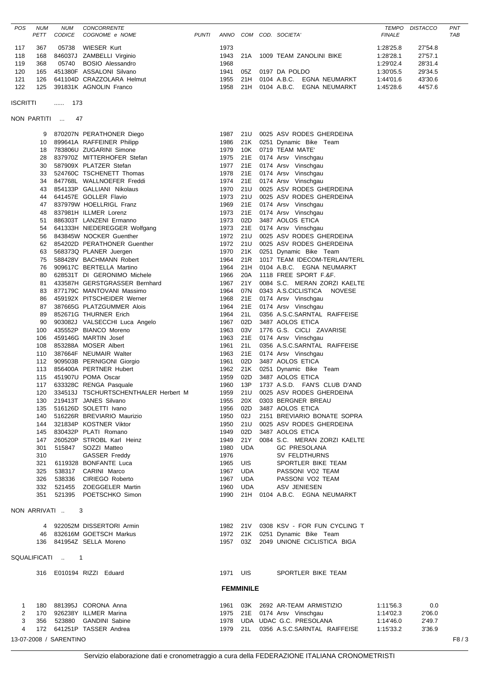| <b>POS</b> | <b>NUM</b> | NUM           | <b>CONCORRENTE</b>        |              |             |     |      |               |                           | <b>TEMPO</b>  | <b>DISTACCO</b> | PNT        |
|------------|------------|---------------|---------------------------|--------------|-------------|-----|------|---------------|---------------------------|---------------|-----------------|------------|
|            | PETT       | <i>CODICE</i> | COGNOME e NOME            | <b>PUNTI</b> | <b>ANNO</b> | COM | COD. | SOCIETA'      |                           | <b>FINALE</b> |                 | <b>TAB</b> |
| 117        | 367        | 05738         | WIESER Kurt               |              | 1973        |     |      |               |                           | 1:28'25.8     | 27'54.8         |            |
|            |            |               |                           |              |             |     |      |               |                           |               |                 |            |
| 118        | 168        |               | 846037J ZAMBELLI Virginio |              | 1943        | 21A |      |               | 1009 TEAM ZANOLINI BIKE   | 1:28'28.1     | 27'57.1         |            |
| 119        | 368        | 05740         | BOSIO Alessandro          |              | 1968        |     |      |               |                           | 1:29'02.4     | 28'31.4         |            |
| 120        | 165        |               | 451380F ASSALONI Silvano  |              | 1941        | 057 |      | 0197 DA POLDO |                           | 1:30'05.5     | 29'34.5         |            |
| 121        | 126        |               | 641104D CRAZZOLARA Helmut |              | 1955        | 21H |      | 0104 A.B.C.   | EGNA NEUMARKT             | 1:44'01.6     | 43'30.6         |            |
| 122        | 125        |               | 391831K AGNOLIN Franco    |              | 1958        | 21H |      |               | 0104 A.B.C. EGNA NEUMARKT | 1:45'28.6     | 44'57.6         |            |
|            |            |               |                           |              |             |     |      |               |                           |               |                 |            |

ISCRITTI ...... 173

```
NON PARTITI ... 47
```

|   | 9   |                        | 870207N PERATHONER Diego             | 1987     | 21U              | 0025 ASV RODES GHERDEINA              |           |        |      |
|---|-----|------------------------|--------------------------------------|----------|------------------|---------------------------------------|-----------|--------|------|
|   | 10  |                        | 899641A RAFFEINER Philipp            | 1986     | 21K              | 0251 Dynamic Bike Team                |           |        |      |
|   | 18  |                        | 783806U ZUGARINI Simone              | 1979     | 10K              | 0719 TEAM MATE'                       |           |        |      |
|   | 28  |                        | 837970Z MITTERHOFER Stefan           | 1975     | 21E              | 0174 Arsv Vinschgau                   |           |        |      |
|   | 30  |                        | 587909X PLATZER Stefan               | 1977     | 21E              | 0174 Arsv Vinschgau                   |           |        |      |
|   | 33  |                        | 524760C TSCHENETT Thomas             | 1978     | 21E              | 0174 Arsv Vinschgau                   |           |        |      |
|   |     |                        |                                      |          |                  |                                       |           |        |      |
|   | 34  |                        | 847768L WALLNOEFER Freddi            | 1974     | 21E              | 0174 Arsv Vinschgau                   |           |        |      |
|   | 43  |                        | 854133P GALLIANI Nikolaus            | 1970     | 21U              | 0025 ASV RODES GHERDEINA              |           |        |      |
|   | 44  |                        | 641457E GOLLER Flavio                | 1973     | 21U              | 0025 ASV RODES GHERDEINA              |           |        |      |
|   | 47  |                        | 837979W HOELLRIGL Franz              | 1969     | 21E              | 0174 Arsv Vinschgau                   |           |        |      |
|   | 48  |                        | 837981H ILLMER Lorenz                | 1973     | 21E              | 0174 Arsv Vinschgau                   |           |        |      |
|   | 51  |                        | 886303T LANZENI Ermanno              | 1973     | 02D              | 3487 AOLOS ETICA                      |           |        |      |
|   | 54  |                        | 641333H NIEDEREGGER Wolfgang         | 1973     | 21E              | 0174 Arsv Vinschgau                   |           |        |      |
|   | 56  |                        | 843845W NOCKER Guenther              | 1972     | 21U              | 0025 ASV RODES GHERDEINA              |           |        |      |
|   | 62  |                        | 854202D PERATHONER Guenther          | 1972     | 21U              | 0025 ASV RODES GHERDEINA              |           |        |      |
|   | 63  |                        | 568373Q PLANER Juergen               | 1970     | 21K              | 0251 Dynamic Bike Team                |           |        |      |
|   | 75  |                        | 588428V BACHMANN Robert              | 1964     | 21R              | 1017 TEAM IDECOM-TERLAN/TERL          |           |        |      |
|   | 76  |                        | 909617C BERTELLA Martino             | 1964     | 21H              | 0104 A.B.C. EGNA NEUMARKT             |           |        |      |
|   | 80  |                        | 628531T DI GERONIMO Michele          | 1966     | 20A              | 1118 FREE SPORT F.&F.                 |           |        |      |
|   | 81  |                        | 433587H GERSTGRASSER Bernhard        | 1967     | 21Y              | 0084 S.C. MERAN ZORZI KAELTE          |           |        |      |
|   | 83  |                        | 877179C MANTOVANI Massimo            | 1964     | 07N              | 0343 A.S.CICLISTICA<br>NOVESE         |           |        |      |
|   | 86  |                        | 459192X PITSCHEIDER Werner           | 1968     | 21E              | 0174 Arsv Vinschgau                   |           |        |      |
|   | 87  |                        | 387665G PLATZGUMMER Alois            | 1964     | 21E              | 0174 Arsv Vinschgau                   |           |        |      |
|   | 89  |                        | 852671G THURNER Erich                | 1964     | 21L              | 0356 A.S.C.SARNTAL RAIFFEISE          |           |        |      |
|   | 90  |                        |                                      | 1967     | 02D              | 3487 AOLOS ETICA                      |           |        |      |
|   |     |                        | 903082J VALSECCHI Luca Angelo        |          |                  |                                       |           |        |      |
|   | 100 |                        | 435552P BIANCO Moreno                | 1963     | 03V              | 1776 G.S. CICLI ZAVARISE              |           |        |      |
|   | 106 |                        | 459146G MARTIN Josef                 | 1963     | 21E              | 0174 Arsv Vinschgau                   |           |        |      |
|   | 108 |                        | 853288A MOSER Albert                 | 1961     | 21L              | 0356 A.S.C.SARNTAL RAIFFEISE          |           |        |      |
|   | 110 |                        | 387664F NEUMAIR Walter               | 1963     | 21E              | 0174 Arsv Vinschgau                   |           |        |      |
|   | 112 |                        | 909503B PERNIGONI Giorgio            | 1961     | 02D              | 3487 AOLOS ETICA                      |           |        |      |
|   | 113 |                        | 856400A PERTNER Hubert               | 1962     | 21K              | 0251 Dynamic Bike Team                |           |        |      |
|   | 115 |                        | 451907U POMA Oscar                   | 1959     | 02D              | 3487 AOLOS ETICA                      |           |        |      |
|   |     |                        | 117 633328C RENGA Pasquale           | 1960     | 13P              | 1737 A.S.D. FAN'S CLUB D'AND          |           |        |      |
|   | 120 |                        | 334513J TSCHURTSCHENTHALER Herbert M | 1959     | 21U              | 0025 ASV RODES GHERDEINA              |           |        |      |
|   | 130 |                        | 219413T JANES Silvano                | 1955     | 20X              | 0303 BERGNER BREAU                    |           |        |      |
|   | 135 |                        | 516126D SOLETTI Ivano                | 1956     | 02D              | 3487 AOLOS ETICA                      |           |        |      |
|   | 140 |                        | 516226R BREVIARIO Maurizio           | 1950     | 02J              | 2151 BREVIARIO BONATE SOPRA           |           |        |      |
|   | 144 |                        | 321834P KOSTNER Viktor               | 1950     | 21U              | 0025 ASV RODES GHERDEINA              |           |        |      |
|   | 145 |                        | 830432P PLATI Romano                 | 1949     | 02D              | 3487 AOLOS ETICA                      |           |        |      |
|   | 147 |                        | 260520P STROBL Karl Heinz            | 1949     | 21Y              | 0084 S.C. MERAN ZORZI KAELTE          |           |        |      |
|   | 301 | 515847                 | SOZZI Matteo                         | 1980     | <b>UDA</b>       | <b>GC PRESOLANA</b>                   |           |        |      |
|   | 310 |                        | GASSER Freddy                        | 1976     |                  | SV FELDTHURNS                         |           |        |      |
|   | 321 |                        | 6119328 BONFANTE Luca                | 1965     | UIS              | SPORTLER BIKE TEAM                    |           |        |      |
|   | 325 | 538317                 | CARINI Marco                         | 1967     | UDA              | PASSONI VO2 TEAM                      |           |        |      |
|   | 326 | 538336                 | CIRIEGO Roberto                      | 1967     | <b>UDA</b>       | PASSONI VO2 TEAM                      |           |        |      |
|   | 332 | 521455                 | <b>ZOEGGELER Martin</b>              | 1960     | UDA              | ASV JENIESEN                          |           |        |      |
|   |     |                        | 351 521395 POETSCHKO Simon           |          |                  | 1990 21H 0104 A.B.C. EGNA NEUMARKT    |           |        |      |
|   |     |                        |                                      |          |                  |                                       |           |        |      |
|   |     | NON ARRIVATI           | -3                                   |          |                  |                                       |           |        |      |
|   |     |                        |                                      |          |                  |                                       |           |        |      |
|   |     |                        | 4 922052M DISSERTORI Armin           |          |                  | 1982 21V 0308 KSV - FOR FUN CYCLING T |           |        |      |
|   |     |                        | 46 832616M GOETSCH Markus            |          |                  | 1972 21K 0251 Dynamic Bike Team       |           |        |      |
|   |     |                        | 136 841954Z SELLA Moreno             |          |                  | 1957 03Z 2049 UNIONE CICLISTICA BIGA  |           |        |      |
|   |     |                        |                                      |          |                  |                                       |           |        |      |
|   |     | SQUALIFICATI  1        |                                      |          |                  |                                       |           |        |      |
|   |     |                        |                                      |          |                  |                                       |           |        |      |
|   |     |                        | 316 E010194 RIZZI Eduard             | 1971 UIS |                  | SPORTLER BIKE TEAM                    |           |        |      |
|   |     |                        |                                      |          | <b>FEMMINILE</b> |                                       |           |        |      |
|   |     |                        |                                      |          |                  |                                       |           |        |      |
| 1 |     |                        | 180 881395J CORONA Anna              | 1961     |                  | 03K 2692 AR-TEAM ARMISTIZIO           | 1:11'56.3 | 0.0    |      |
| 2 |     |                        | 170 926238Y ILLMER Marina            |          |                  | 1975 21E 0174 Arsv Vinschgau          | 1:14'02.3 | 2'06.0 |      |
| 3 |     |                        | 356 523880 GANDINI Sabine            |          |                  | 1978 UDA UDAC G.C. PRESOLANA          | 1:14'46.0 | 2'49.7 |      |
| 4 |     |                        | 172 641251P TASSER Andrea            |          |                  | 1979 21L 0356 A.S.C.SARNTAL RAIFFEISE | 1:15'33.2 | 3'36.9 |      |
|   |     | 13-07-2008 / SARENTINO |                                      |          |                  |                                       |           |        | F8/3 |